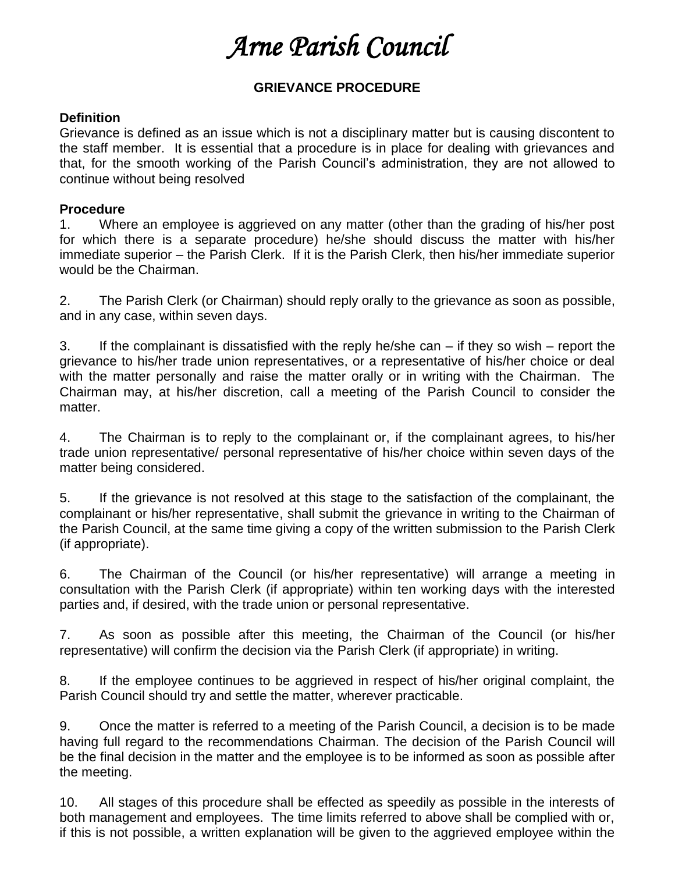## *Arne Parish Council*

## **GRIEVANCE PROCEDURE**

## **Definition**

Grievance is defined as an issue which is not a disciplinary matter but is causing discontent to the staff member. It is essential that a procedure is in place for dealing with grievances and that, for the smooth working of the Parish Council's administration, they are not allowed to continue without being resolved

## **Procedure**

1. Where an employee is aggrieved on any matter (other than the grading of his/her post for which there is a separate procedure) he/she should discuss the matter with his/her immediate superior – the Parish Clerk. If it is the Parish Clerk, then his/her immediate superior would be the Chairman.

2. The Parish Clerk (or Chairman) should reply orally to the grievance as soon as possible, and in any case, within seven days.

3. If the complainant is dissatisfied with the reply he/she can – if they so wish – report the grievance to his/her trade union representatives, or a representative of his/her choice or deal with the matter personally and raise the matter orally or in writing with the Chairman. The Chairman may, at his/her discretion, call a meeting of the Parish Council to consider the matter.

4. The Chairman is to reply to the complainant or, if the complainant agrees, to his/her trade union representative/ personal representative of his/her choice within seven days of the matter being considered.

5. If the grievance is not resolved at this stage to the satisfaction of the complainant, the complainant or his/her representative, shall submit the grievance in writing to the Chairman of the Parish Council, at the same time giving a copy of the written submission to the Parish Clerk (if appropriate).

6. The Chairman of the Council (or his/her representative) will arrange a meeting in consultation with the Parish Clerk (if appropriate) within ten working days with the interested parties and, if desired, with the trade union or personal representative.

7. As soon as possible after this meeting, the Chairman of the Council (or his/her representative) will confirm the decision via the Parish Clerk (if appropriate) in writing.

8. If the employee continues to be aggrieved in respect of his/her original complaint, the Parish Council should try and settle the matter, wherever practicable.

9. Once the matter is referred to a meeting of the Parish Council, a decision is to be made having full regard to the recommendations Chairman. The decision of the Parish Council will be the final decision in the matter and the employee is to be informed as soon as possible after the meeting.

10. All stages of this procedure shall be effected as speedily as possible in the interests of both management and employees. The time limits referred to above shall be complied with or, if this is not possible, a written explanation will be given to the aggrieved employee within the